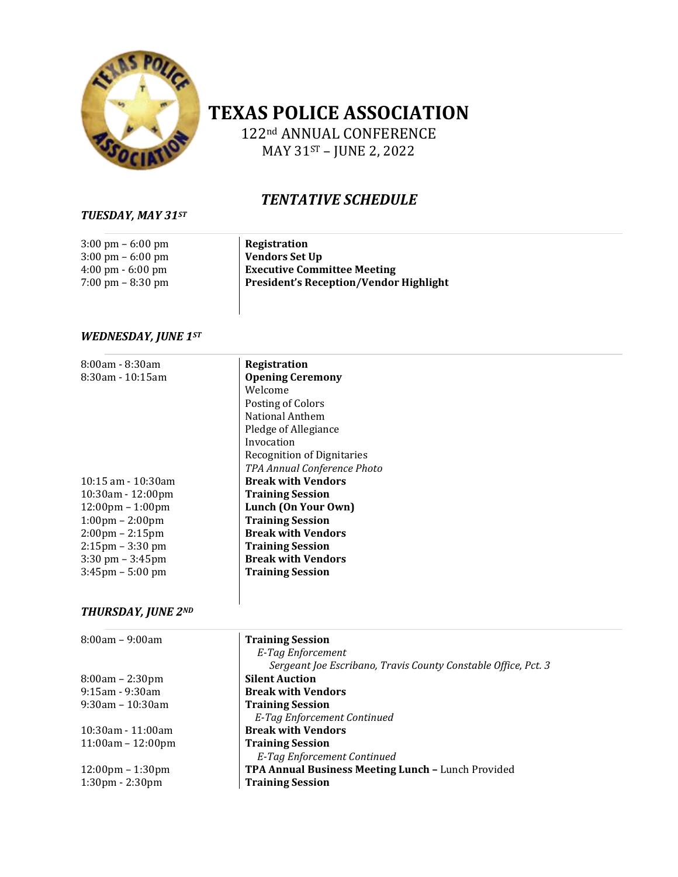

# **TEXAS POLICE ASSOCIATION**

122nd ANNUAL CONFERENCE MAY 31ST – JUNE 2, 2022

# *TENTATIVE SCHEDULE*

## *TUESDAY, MAY 31ST*

| $3:00 \text{ pm} - 6:00 \text{ pm}$ | Registration                                  |
|-------------------------------------|-----------------------------------------------|
| $3:00 \text{ pm} - 6:00 \text{ pm}$ | Vendors Set Up                                |
| $4:00 \text{ pm} - 6:00 \text{ pm}$ | <b>Executive Committee Meeting</b>            |
| $7:00 \text{ pm} - 8:30 \text{ pm}$ | <b>President's Reception/Vendor Highlight</b> |
|                                     |                                               |

## *WEDNESDAY, JUNE 1ST*

| 8:00am - 8:30am<br>$8:30$ am - 10:15am | Registration<br><b>Opening Ceremony</b><br>Welcome<br>Posting of Colors<br>National Anthem<br>Pledge of Allegiance<br>Invocation<br><b>Recognition of Dignitaries</b><br>TPA Annual Conference Photo |
|----------------------------------------|------------------------------------------------------------------------------------------------------------------------------------------------------------------------------------------------------|
| $10:15$ am - $10:30$ am                | <b>Break with Vendors</b>                                                                                                                                                                            |
| $10:30$ am - $12:00$ pm                | <b>Training Session</b>                                                                                                                                                                              |
| $12:00 \text{pm} - 1:00 \text{pm}$     | Lunch (On Your Own)                                                                                                                                                                                  |
| $1:00 \text{pm} - 2:00 \text{pm}$      | <b>Training Session</b>                                                                                                                                                                              |
| $2:00 \text{pm} - 2:15 \text{pm}$      | <b>Break with Vendors</b>                                                                                                                                                                            |
| $2:15$ pm – $3:30$ pm                  | <b>Training Session</b>                                                                                                                                                                              |
| $3:30$ pm $-3:45$ pm                   | <b>Break with Vendors</b>                                                                                                                                                                            |
| $3:45$ pm – 5:00 pm                    | <b>Training Session</b>                                                                                                                                                                              |

## *THURSDAY, JUNE 2ND*

| $8:00am - 9:00am$                  | <b>Training Session</b>                                        |
|------------------------------------|----------------------------------------------------------------|
|                                    | E-Tag Enforcement                                              |
|                                    | Sergeant Joe Escribano, Travis County Constable Office, Pct. 3 |
| $8:00am - 2:30pm$                  | <b>Silent Auction</b>                                          |
| $9:15$ am - $9:30$ am              | <b>Break with Vendors</b>                                      |
| $9:30$ am – 10:30am                | <b>Training Session</b>                                        |
|                                    | E-Tag Enforcement Continued                                    |
| $10:30$ am - 11:00am               | <b>Break with Vendors</b>                                      |
| $11:00am - 12:00pm$                | <b>Training Session</b>                                        |
|                                    | E-Tag Enforcement Continued                                    |
| $12:00 \text{pm} - 1:30 \text{pm}$ | TPA Annual Business Meeting Lunch - Lunch Provided             |
| $1:30 \text{pm} - 2:30 \text{pm}$  | <b>Training Session</b>                                        |